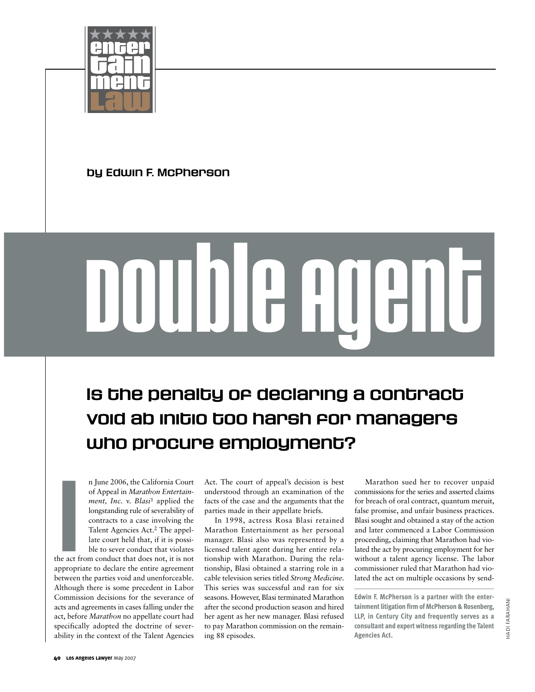

**by Edwin F. McPherson**

# **DOUBLE AGENT**

# **Is the penalty of declaring a contract void ab initio too harsh for managers who procure employment?**

n June 2006, the California Court of Appeal in *Marathon Entertainment, Inc.* v. *Blasi*<sup>1</sup> applied the longstanding rule of severability of contracts to a case involving the Talent Agencies Act.2 The appellate court held that, if it is possible to sever conduct that violates

the act from conduct that does not, it is not appropriate to declare the entire agreement between the parties void and unenforceable. Although there is some precedent in Labor Commission decisions for the severance of acts and agreements in cases falling under the act, before *Marathon* no appellate court had specifically adopted the doctrine of severability in the context of the Talent Agencies **I**

Act. The court of appeal's decision is best understood through an examination of the facts of the case and the arguments that the parties made in their appellate briefs.

In 1998, actress Rosa Blasi retained Marathon Entertainment as her personal manager. Blasi also was represented by a licensed talent agent during her entire relationship with Marathon. During the relationship, Blasi obtained a starring role in a cable television series titled *Strong Medicine*. This series was successful and ran for six seasons. However, Blasi terminated Marathon after the second production season and hired her agent as her new manager. Blasi refused to pay Marathon commission on the remaining 88 episodes.

Marathon sued her to recover unpaid commissions for the series and asserted claims for breach of oral contract, quantum meruit, false promise, and unfair business practices. Blasi sought and obtained a stay of the action and later commenced a Labor Commission proceeding, claiming that Marathon had violated the act by procuring employment for her without a talent agency license. The labor commissioner ruled that Marathon had violated the act on multiple occasions by send-

**Edwin F. McPherson is a partner with the entertainment litigation firm of McPherson & Rosenberg, LLP, in Century City and frequently serves as a consultant and expert witness regarding the Talent Agencies Act.**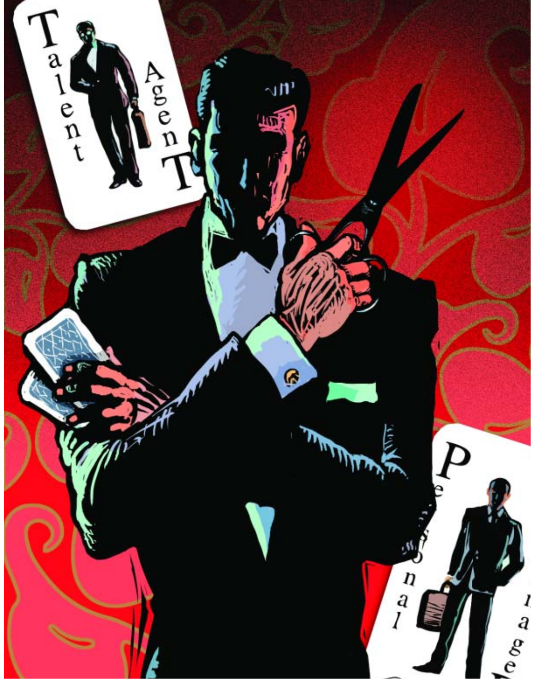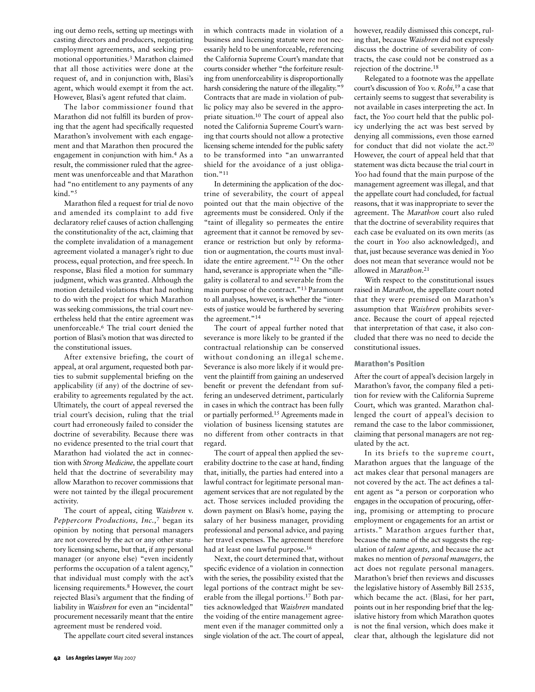ing out demo reels, setting up meetings with casting directors and producers, negotiating employment agreements, and seeking promotional opportunities.3 Marathon claimed that all those activities were done at the request of, and in conjunction with, Blasi's agent, which would exempt it from the act. However, Blasi's agent refuted that claim.

The labor commissioner found that Marathon did not fulfill its burden of proving that the agent had specifically requested Marathon's involvement with each engagement and that Marathon then procured the engagement in conjunction with him.4 As a result, the commissioner ruled that the agreement was unenforceable and that Marathon had "no entitlement to any payments of any kind."5

Marathon filed a request for trial de novo and amended its complaint to add five declaratory relief causes of action challenging the constitutionality of the act, claiming that the complete invalidation of a management agreement violated a manager's right to due process, equal protection, and free speech. In response, Blasi filed a motion for summary judgment, which was granted. Although the motion detailed violations that had nothing to do with the project for which Marathon was seeking commissions, the trial court nevertheless held that the entire agreement was unenforceable.6 The trial court denied the portion of Blasi's motion that was directed to the constitutional issues.

After extensive briefing, the court of appeal, at oral argument, requested both parties to submit supplemental briefing on the applicability (if any) of the doctrine of severability to agreements regulated by the act. Ultimately, the court of appeal reversed the trial court's decision, ruling that the trial court had erroneously failed to consider the doctrine of severability. Because there was no evidence presented to the trial court that Marathon had violated the act in connection with *Strong Medicine,* the appellate court held that the doctrine of severability may allow Marathon to recover commissions that were not tainted by the illegal procurement activity.

The court of appeal, citing *Waisbren* v. *Peppercorn Productions, Inc.,*<sup>7</sup> began its opinion by noting that personal managers are not covered by the act or any other statutory licensing scheme, but that, if any personal manager (or anyone else) "even incidently performs the occupation of a talent agency," that individual must comply with the act's licensing requirements.8 However, the court rejected Blasi's argument that the finding of liability in *Waisbren* for even an "incidental" procurement necessarily meant that the entire agreement must be rendered void.

The appellate court cited several instances

in which contracts made in violation of a business and licensing statute were not necessarily held to be unenforceable, referencing the California Supreme Court's mandate that courts consider whether "the forfeiture resulting from unenforceability is disproportionally harsh considering the nature of the illegality."<sup>9</sup> Contracts that are made in violation of public policy may also be severed in the appropriate situation.10 The court of appeal also noted the California Supreme Court's warning that courts should not allow a protective licensing scheme intended for the public safety to be transformed into "an unwarranted shield for the avoidance of a just obligation."<sup>11</sup>

In determining the application of the doctrine of severability, the court of appeal pointed out that the main objective of the agreements must be considered. Only if the "taint of illegality so permeates the entire agreement that it cannot be removed by severance or restriction but only by reformation or augmentation, the courts must invalidate the entire agreement."12 On the other hand, severance is appropriate when the "illegality is collateral to and severable from the main purpose of the contract."13 Paramount to all analyses, however, is whether the "interests of justice would be furthered by severing the agreement."14

The court of appeal further noted that severance is more likely to be granted if the contractual relationship can be conserved without condoning an illegal scheme. Severance is also more likely if it would prevent the plaintiff from gaining an undeserved benefit or prevent the defendant from suffering an undeserved detriment, particularly in cases in which the contract has been fully or partially performed.15 Agreements made in violation of business licensing statutes are no different from other contracts in that regard.

The court of appeal then applied the severability doctrine to the case at hand, finding that, initially, the parties had entered into a lawful contract for legitimate personal management services that are not regulated by the act. Those services included providing the down payment on Blasi's home, paying the salary of her business manager, providing professional and personal advice, and paying her travel expenses. The agreement therefore had at least one lawful purpose.16

Next, the court determined that, without specific evidence of a violation in connection with the series, the possibility existed that the legal portions of the contract might be severable from the illegal portions.17 Both parties acknowledged that *Waisbren* mandated the voiding of the entire management agreement even if the manager committed only a single violation of the act. The court of appeal,

however, readily dismissed this concept, ruling that, because *Waisbren* did not expressly discuss the doctrine of severability of contracts, the case could not be construed as a rejection of the doctrine.18

Relegated to a footnote was the appellate court's discussion of *Yoo* v. *Robi,*<sup>19</sup> a case that certainly seems to suggest that severability is not available in cases interpreting the act. In fact, the *Yoo* court held that the public policy underlying the act was best served by denying all commissions, even those earned for conduct that did not violate the act.20 However, the court of appeal held that that statement was dicta because the trial court in *Yoo* had found that the main purpose of the management agreement was illegal, and that the appellate court had concluded, for factual reasons, that it was inappropriate to sever the agreement. The *Marathon* court also ruled that the doctrine of severability requires that each case be evaluated on its own merits (as the court in *Yoo* also acknowledged), and that, just because severance was denied in *Yoo* does not mean that severance would not be allowed in *Marathon*. 21

With respect to the constitutional issues raised in *Marathon,* the appellate court noted that they were premised on Marathon's assumption that *Waisbren* prohibits severance. Because the court of appeal rejected that interpretation of that case, it also concluded that there was no need to decide the constitutional issues.

### Marathon's Position

After the court of appeal's decision largely in Marathon's favor, the company filed a petition for review with the California Supreme Court, which was granted. Marathon challenged the court of appeal's decision to remand the case to the labor commissioner, claiming that personal managers are not regulated by the act.

In its briefs to the supreme court, Marathon argues that the language of the act makes clear that personal managers are not covered by the act. The act defines a talent agent as "a person or corporation who engages in the occupation of procuring, offering, promising or attempting to procure employment or engagements for an artist or artists." Marathon argues further that, because the name of the act suggests the regulation of *talent agents,* and because the act makes no mention of *personal managers,* the act does not regulate personal managers. Marathon's brief then reviews and discusses the legislative history of Assembly Bill 2535, which became the act. (Blasi, for her part, points out in her responding brief that the legislative history from which Marathon quotes is not the final version, which does make it clear that, although the legislature did not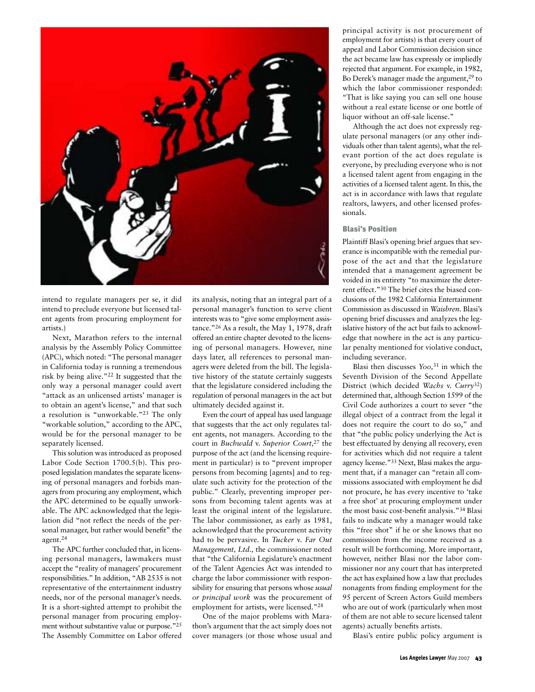

intend to regulate managers per se, it did intend to preclude everyone but licensed talent agents from procuring employment for artists.)

Next, Marathon refers to the internal analysis by the Assembly Policy Committee (APC), which noted: "The personal manager in California today is running a tremendous risk by being alive."22 It suggested that the only way a personal manager could avert "attack as an unlicensed artists' manager is to obtain an agent's license," and that such a resolution is "unworkable."23 The only "workable solution," according to the APC, would be for the personal manager to be separately licensed.

This solution was introduced as proposed Labor Code Section 1700.5(b). This proposed legislation mandates the separate licensing of personal managers and forbids managers from procuring any employment, which the APC determined to be equally unworkable. The APC acknowledged that the legislation did "not reflect the needs of the personal manager, but rather would benefit" the agent.24

The APC further concluded that, in licensing personal managers, lawmakers must accept the "reality of managers' procurement responsibilities." In addition, "AB 2535 is not representative of the entertainment industry needs, nor of the personal manager's needs. It is a short-sighted attempt to prohibit the personal manager from procuring employment without substantive value or purpose."25 The Assembly Committee on Labor offered

its analysis, noting that an integral part of a personal manager's function to serve client interests was to "give some employment assistance."26 As a result, the May 1, 1978, draft offered an entire chapter devoted to the licensing of personal managers. However, nine days later, all references to personal managers were deleted from the bill. The legislative history of the statute certainly suggests that the legislature considered including the regulation of personal managers in the act but ultimately decided against it.

Even the court of appeal has used language that suggests that the act only regulates talent agents, not managers. According to the court in *Buchwald* v. *Superior Court,*<sup>27</sup> the purpose of the act (and the licensing requirement in particular) is to "prevent improper persons from becoming [agents] and to regulate such activity for the protection of the public." Clearly, preventing improper persons from becoming talent agents was at least the original intent of the legislature. The labor commissioner, as early as 1981, acknowledged that the procurement activity had to be pervasive. In *Tucker* v. *Far Out Management, Ltd.,* the commissioner noted that "the California Legislature's enactment of the Talent Agencies Act was intended to charge the labor commissioner with responsibility for ensuring that persons whose *usual or principal work* was the procurement of employment for artists, were licensed."28

One of the major problems with Marathon's argument that the act simply does not cover managers (or those whose usual and principal activity is not procurement of employment for artists) is that every court of appeal and Labor Commission decision since the act became law has expressly or impliedly rejected that argument. For example, in 1982, Bo Derek's manager made the argument,  $29$  to which the labor commissioner responded: "That is like saying you can sell one house without a real estate license or one bottle of liquor without an off-sale license."

Although the act does not expressly regulate personal managers (or any other individuals other than talent agents), what the relevant portion of the act does regulate is everyone, by precluding everyone who is not a licensed talent agent from engaging in the activities of a licensed talent agent. In this, the act is in accordance with laws that regulate realtors, lawyers, and other licensed professionals.

### Blasi's Position

Plaintiff Blasi's opening brief argues that severance is incompatible with the remedial purpose of the act and that the legislature intended that a management agreement be voided in its entirety "to maximize the deterrent effect."30 The brief cites the biased conclusions of the 1982 California Entertainment Commission as discussed in *Waisbren*. Blasi's opening brief discusses and analyzes the legislative history of the act but fails to acknowledge that nowhere in the act is any particular penalty mentioned for violative conduct, including severance.

Blasi then discusses *Yoo,*<sup>31</sup> in which the Seventh Division of the Second Appellate District (which decided *Wachs* v. *Curry*32) determined that, although Section 1599 of the Civil Code authorizes a court to sever "the illegal object of a contract from the legal it does not require the court to do so," and that "the public policy underlying the Act is best effectuated by denying all recovery, even for activities which did not require a talent agency license."33 Next, Blasi makes the argument that, if a manager can "retain all commissions associated with employment he did not procure, he has every incentive to 'take a free shot' at procuring employment under the most basic cost-benefit analysis."34 Blasi fails to indicate why a manager would take this "free shot" if he or she knows that no commission from the income received as a result will be forthcoming. More important, however, neither Blasi nor the labor commissioner nor any court that has interpreted the act has explained how a law that precludes nonagents from finding employment for the 95 percent of Screen Actors Guild members who are out of work (particularly when most of them are not able to secure licensed talent agents) actually benefits artists.

Blasi's entire public policy argument is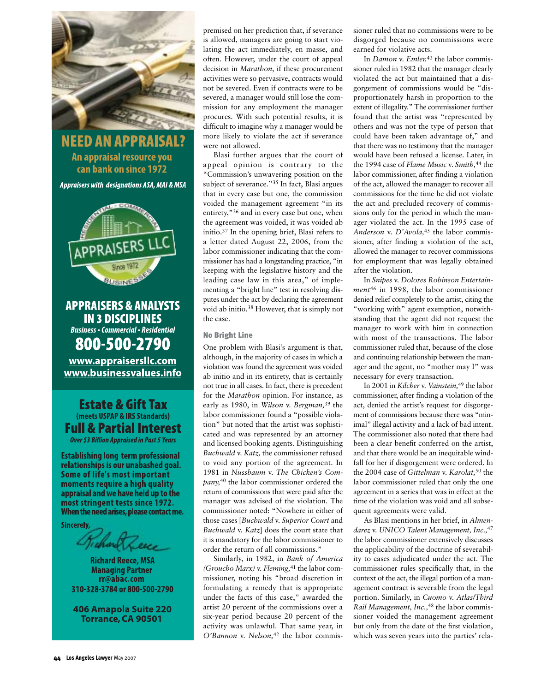

**NEED AN APPRAISAL?** An appraisal resource you can bank on since 1972

Appraisers with designations ASA, MAI & MSA



**APPRAISERS & ANALYSTS IN 3 DISCIPLINES Business • Commercial • Residential** 800-500-2790 www.appraisersllc.com www.businessvalues.info

**Estate & Gift Tax** (meets USPAP & IRS Standards) **Full & Partial Interest Over \$3 Billion Appraised in Past 5 Years** 

**Establishing long-term professional** relationships is our unabashed goal. Some of life's most important moments require a high quality appraisal and we have held up to the most stringent tests since 1972. When the need arises, please contact me.

Sincerely,

**Richard Reece, MSA Managing Partner** rr@abac.com 310-328-3784 or 800-500-2790

406 Amapola Suite 220 **Torrance, CA 90501** 

premised on her prediction that, if severance is allowed, managers are going to start violating the act immediately, en masse, and often. However, under the court of appeal decision in *Marathon*, if these procurement activities were so pervasive, contracts would not be severed. Even if contracts were to be severed, a manager would still lose the commission for any employment the manager procures. With such potential results, it is difficult to imagine why a manager would be more likely to violate the act if severance were not allowed.

Blasi further argues that the court of appeal opinion is contrary to the "Commission's unwavering position on the subject of severance."35 In fact, Blasi argues that in every case but one, the commission voided the management agreement "in its entirety,"36 and in every case but one, when the agreement was voided, it was voided ab initio.37 In the opening brief, Blasi refers to a letter dated August 22, 2006, from the labor commissioner indicating that the commissioner has had a longstanding practice, "in keeping with the legislative history and the leading case law in this area," of implementing a "bright line" test in resolving disputes under the act by declaring the agreement void ab initio.38 However, that is simply not the case.

### No Bright Line

One problem with Blasi's argument is that, although, in the majority of cases in which a violation was found the agreement was voided ab initio and in its entirety, that is certainly not true in all cases. In fact, there is precedent for the *Marathon* opinion. For instance, as early as 1980, in *Wilson* v. *Bergman,*<sup>39</sup> the labor commissioner found a "possible violation" but noted that the artist was sophisticated and was represented by an attorney and licensed booking agents. Distinguishing *Buchwald* v. *Katz,* the commissioner refused to void any portion of the agreement. In 1981 in *Nussbaum* v. *The Chicken's Company,*<sup>40</sup> the labor commissioner ordered the return of commissions that were paid after the manager was advised of the violation. The commissioner noted: "Nowhere in either of those cases [*Buchwald* v. *Superior Court* and *Buchwald* v. *Katz*] does the court state that it is mandatory for the labor commissioner to order the return of all commissions."

Similarly, in 1982, in *Bank of America (Groucho Marx)* v. *Fleming,*<sup>41</sup> the labor commissioner, noting his "broad discretion in formulating a remedy that is appropriate under the facts of this case," awarded the artist 20 percent of the commissions over a six-year period because 20 percent of the activity was unlawful. That same year, in *O'Bannon* v. *Nelson,*<sup>42</sup> the labor commissioner ruled that no commissions were to be disgorged because no commissions were earned for violative acts.

In *Damon* v. *Emler,* <sup>43</sup> the labor commissioner ruled in 1982 that the manager clearly violated the act but maintained that a disgorgement of commissions would be "disproportionately harsh in proportion to the extent of illegality." The commissioner further found that the artist was "represented by others and was not the type of person that could have been taken advantage of," and that there was no testimony that the manager would have been refused a license. Later, in the 1994 case of *Flame Music* v. *Smith,*<sup>44</sup> the labor commissioner, after finding a violation of the act, allowed the manager to recover all commissions for the time he did not violate the act and precluded recovery of commissions only for the period in which the manager violated the act. In the 1995 case of *Anderson* v. *D'Avola,*<sup>45</sup> the labor commissioner, after finding a violation of the act, allowed the manager to recover commissions for employment that was legally obtained after the violation.

In *Snipes* v. *Dolores Robinson Entertainment*<sup>46</sup> in 1998, the labor commissioner denied relief completely to the artist, citing the "working with" agent exemption, notwithstanding that the agent did not request the manager to work with him in connection with most of the transactions. The labor commissioner ruled that, because of the close and continuing relationship between the manager and the agent, no "mother may I" was necessary for every transaction.

In 2001 in *Kilcher* v. *Vainstein,*<sup>49</sup> the labor commissioner, after finding a violation of the act, denied the artist's request for disgorgement of commissions because there was "minimal" illegal activity and a lack of bad intent. The commissioner also noted that there had been a clear benefit conferred on the artist, and that there would be an inequitable windfall for her if disgorgement were ordered. In the 2004 case of *Gittelman* v. *Karolat,*<sup>50</sup> the labor commissioner ruled that only the one agreement in a series that was in effect at the time of the violation was void and all subsequent agreements were valid.

As Blasi mentions in her brief, in *Almendarez* v. *UNICO Talent Management, Inc.,*<sup>47</sup> the labor commissioner extensively discusses the applicability of the doctrine of severability to cases adjudicated under the act. The commissioner rules specifically that, in the context of the act, the illegal portion of a management contract is severable from the legal portion. Similarly, in *Cuomo* v. *Atlas/Third Rail Management, Inc.,*<sup>48</sup> the labor commissioner voided the management agreement but only from the date of the first violation, which was seven years into the parties' rela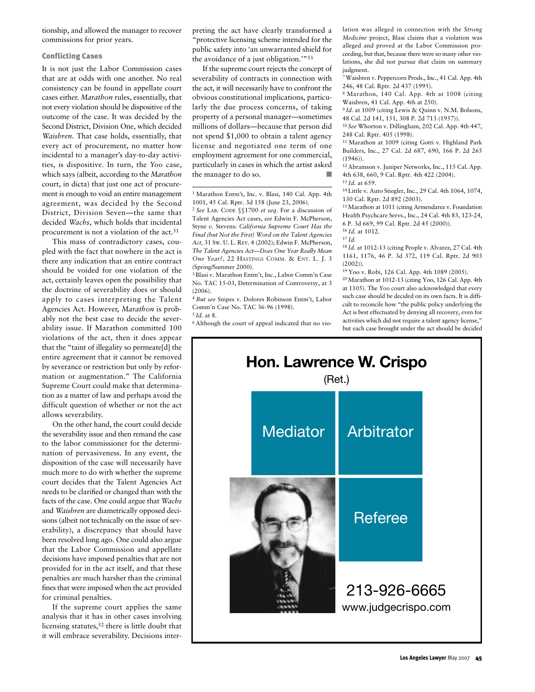tionship, and allowed the manager to recover commissions for prior years.

### Conflicting Cases

It is not just the Labor Commission cases that are at odds with one another. No real consistency can be found in appellate court cases either. *Marathon* rules, essentially, that not every violation should be dispositive of the outcome of the case. It was decided by the Second District, Division One, which decided *Waisbren*. That case holds, essentially, that every act of procurement, no matter how incidental to a manager's day-to-day activities, is dispositive. In turn, the *Yoo* case, which says (albeit, according to the *Marathon* court, in dicta) that just one act of procurement is enough to void an entire management agreement, was decided by the Second District, Division Seven—the same that decided *Wachs*, which holds that incidental procurement is not a violation of the act.<sup>51</sup>

This mass of contradictory cases, coupled with the fact that nowhere in the act is there any indication that an entire contract should be voided for one violation of the act, certainly leaves open the possibility that the doctrine of severability does or should apply to cases interpreting the Talent Agencies Act. However, *Marathon* is probably not the best case to decide the severability issue. If Marathon committed 100 violations of the act, then it does appear that the "taint of illegality so permeate[d] the entire agreement that it cannot be removed by severance or restriction but only by reformation or augmentation." The California Supreme Court could make that determination as a matter of law and perhaps avoid the difficult question of whether or not the act allows severability.

On the other hand, the court could decide the severability issue and then remand the case to the labor commissioner for the determination of pervasiveness. In any event, the disposition of the case will necessarily have much more to do with whether the supreme court decides that the Talent Agencies Act needs to be clarified or changed than with the facts of the case. One could argue that *Wachs* and *Waisbren* are diametrically opposed decisions (albeit not technically on the issue of severability), a discrepancy that should have been resolved long ago. One could also argue that the Labor Commission and appellate decisions have imposed penalties that are not provided for in the act itself, and that these penalties are much harsher than the criminal fines that were imposed when the act provided for criminal penalties.

If the supreme court applies the same analysis that it has in other cases involving licensing statutes,<sup>52</sup> there is little doubt that it will embrace severability. Decisions interpreting the act have clearly transformed a "protective licensing scheme intended for the public safety into 'an unwarranted shield for the avoidance of a just obligation.'"53

If the supreme court rejects the concept of severability of contracts in connection with the act, it will necessarily have to confront the obvious constitutional implications, particularly the due process concerns, of taking property of a personal manager—sometimes millions of dollars—because that person did not spend \$1,000 to obtain a talent agency license and negotiated one term of one employment agreement for one commercial, particularly in cases in which the artist asked the manager to do so.

1 Marathon Entm't, Inc. v. Blasi, 140 Cal. App. 4th 1001, 45 Cal. Rptr. 3d 158 (June 23, 2006).

<sup>2</sup>*See* LAB. CODE §§1700 *et seq*. For a discussion of Talent Agencies Act cases, *see* Edwin F. McPherson, Styne *v.* Stevens: *California Supreme Court Has the Final (but Not the First) Word on the Talent Agencies Act,* 31 SW. U. L. REV. 4 (2002); Edwin F. McPherson, *The Talent Agencies Act—Does One Year Really Mean One Year?,* 22 HASTINGS COMM. & ENT. L. J. 3 (Spring/Summer 2000).

3 Blasi v. Marathon Entm't, Inc., Labor Comm'n Case No. TAC 15-03, Determination of Controversy, at 3 (2006).

<sup>4</sup>*But see* Snipes v. Dolores Robinson Entm't, Labor Comm'n Case No. TAC 36-96 (1998).

<sup>5</sup>*Id.* at 8.

6 Although the court of appeal indicated that no vio-

lation was alleged in connection with the *Strong Medicine* project, Blasi claims that a violation was alleged and proved at the Labor Commission proceeding, but that, because there were so many other violations, she did not pursue that claim on summary judgment.

7 Waisbren v. Peppercorn Prods., Inc., 41 Cal. App. 4th 246, 48 Cal. Rptr. 2d 437 (1995).

8 Marathon, 140 Cal. App. 4th at 1008 (citing Waisbren, 41 Cal. App. 4th at 250).

<sup>9</sup>*Id.* at 1009 (citing Lewis & Quinn v. N.M. Bolsons, 48 Cal. 2d 141, 151, 308 P. 2d 713 (1957)).

<sup>10</sup>*See* Whorton v. Dillingham, 202 Cal. App. 4th 447, 248 Cal. Rptr. 405 (1998).

11 Marathon at 1009 (citing Gotti v. Highland Park Builders, Inc., 27 Cal. 2d 687, 690, 166 P. 2d 265 (1946)).

12 Abramson v. Juniper Networks, Inc., 115 Cal. App. 4th 638, 660, 9 Cal. Rptr. 4th 422 (2004).

<sup>13</sup>*Id.* at 659.

14 Little v. Auto Stiegler, Inc., 29 Cal. 4th 1064, 1074, 130 Cal. Rptr. 2d 892 (2003).

15 Marathon at 1011 (citing Armendarez v. Foundation Health Psychcare Servs., Inc., 24 Cal. 4th 83, 123-24, 6 P. 3d 669, 99 Cal. Rptr. 2d 45 (2000)).

<sup>16</sup>*Id.* at 1012. <sup>17</sup>*Id.*

<sup>18</sup>*Id.* at 1012-13 (citing People v. Alvarez, 27 Cal. 4th 1161, 1176, 46 P. 3d 372, 119 Cal. Rptr. 2d 903 (2002)).

19 Yoo v. Robi, 126 Cal. App. 4th 1089 (2005).

20 Marathon at 1012-13 (citing Yoo, 126 Cal. App. 4th at 1105). The *Yoo* court also acknowledged that every such case should be decided on its own facts. It is difficult to reconcile how "the public policy underlying the Act is best effectuated by denying all recovery, even for activities which did not require a talent agency license," but each case brought under the act should be decided